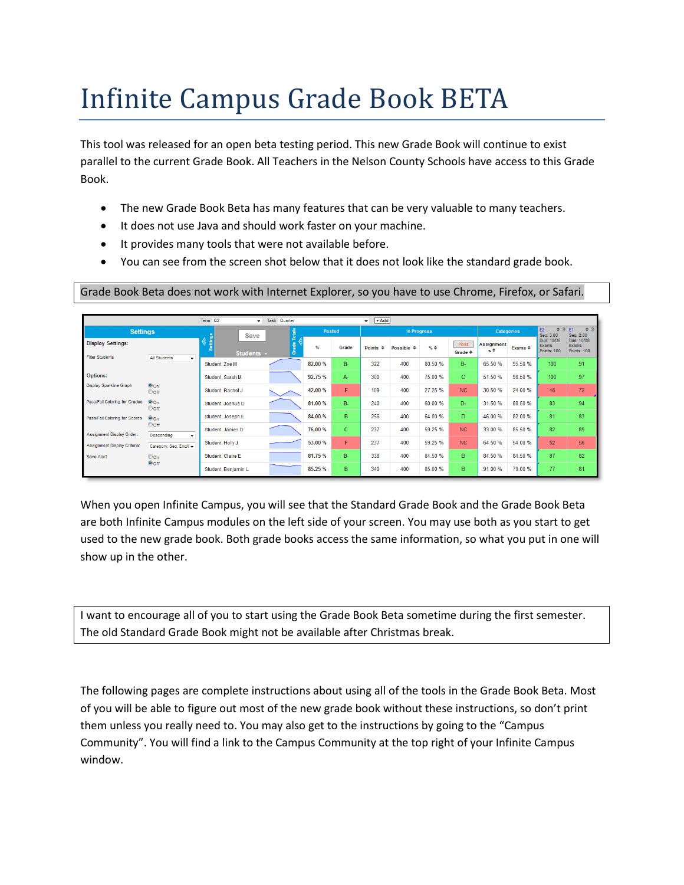# Infinite Campus Grade Book BETA

This tool was released for an open beta testing period. This new Grade Book will continue to exist parallel to the current Grade Book. All Teachers in the Nelson County Schools have access to this Grade Book.

- The new Grade Book Beta has many features that can be very valuable to many teachers.
- It does not use Java and should work faster on your machine.
- It provides many tools that were not available before.
- You can see from the screen shot below that it does not look like the standard grade book.

Grade Book Beta does not work with Internet Explorer, so you have to use Chrome, Firefox, or Safari.

|                                                    |                                      | Term Q2<br>$\bullet$  | <b>Task Quarter</b> |         |           | $+Add$<br>$\mathbf{v}$         |                            |                  |                            |                            |                         |                                                               |                                           |
|----------------------------------------------------|--------------------------------------|-----------------------|---------------------|---------|-----------|--------------------------------|----------------------------|------------------|----------------------------|----------------------------|-------------------------|---------------------------------------------------------------|-------------------------------------------|
| <b>Settings</b>                                    |                                      | Save                  | Totals              | Posted  |           |                                | <b>In Progress</b>         |                  |                            | <b>Categories</b>          |                         | $\Rightarrow$ $\frac{1}{2}$ E1<br>E <sub>2</sub><br>Seq: 3.00 | $\Rightarrow$ $\delta$<br>Seq: 2.00       |
| <b>Display Settings:</b><br><b>Filter Students</b> |                                      | entings<br>Students + | ade                 | $\%$    | Grade     | <b>Points</b><br>$\Rightarrow$ | Possible $\Leftrightarrow$ | $\%$ $\triangle$ | Post<br>Grade $\triangleq$ | <b>Assignment</b><br>$s^*$ | Exams $\Leftrightarrow$ | Due: 10/08<br>Exams<br>Points: 100                            | Due: 10/08<br>Exams<br><b>Points: 100</b> |
|                                                    | <b>All Students</b><br>۰             | Student, Zoe M        |                     | 82.00 % | <b>B-</b> | 322                            | 400                        | 80.50 %          | <b>B-</b>                  | 65.50 %                    | 95.50 %                 | 100                                                           | 91                                        |
| <b>Options:</b>                                    |                                      | Student, Sarah M      |                     | 92.75 % | А.        | 300                            | 400                        | 75.00 %          | c.                         | 51.50 %                    | 98.50 %                 | 100                                                           | 97                                        |
| <b>Display Sparkline Graph</b>                     | $•$ On<br>Ooff                       | Student, Rachel J     |                     | 42.00 % | F         | 109                            | 400                        | 27.25 %          | NC                         | 30.50 %                    | 24.00 %                 | 48                                                            | 72                                        |
| Pass/Fail Coloring for Grades                      | $•$ On<br>Ooff                       | Student, Joshua D     |                     | 81.00 % | <b>B-</b> | 240                            | 400                        | 60.00 %          | D-                         | 31.50 %                    | 88.50 %                 | 83                                                            | 94                                        |
| Pass/Fail Coloring for Scores                      | $•$ On                               | Student, Joseph E     |                     | 84.00 % | B         | 256                            | 400                        | 64.00 %          | D.                         | 46.00 %                    | 82.00 %                 | 81                                                            | 83                                        |
| Assignment Display Order:                          | Ooff<br><b>Descending</b><br>$\cdot$ | Student, James D      |                     | 76.00 % | c         | 237                            | 400                        | 59.25 %          | NC                         | 33.00 %                    | 85.50 %                 | 82                                                            | 89                                        |
| Assignment Display Criteria:                       | Category, Seq, End/I +               | Student, Holly J      |                     | 53.00 % | F         | 237                            | 400                        | 59.25 %          | NC                         | 64.50 %                    | 54.00 %                 | 52                                                            | 56                                        |
| Save Alert                                         | $\odot$ On                           | Student, Claire E     |                     | 81.75 % | $B -$     | 338                            | 400                        | 84.50 %          | B.                         | 84.50 %                    | 84.50 %                 | 87                                                            | 82                                        |
|                                                    | $\odot$ off                          | Student, Benjamin L   |                     | 85.25 % | B         | 340                            | 400                        | 85.00 %          | B.                         | 91.00 %                    | 79.00 %                 | 77                                                            | 81                                        |

When you open Infinite Campus, you will see that the Standard Grade Book and the Grade Book Beta are both Infinite Campus modules on the left side of your screen. You may use both as you start to get used to the new grade book. Both grade books access the same information, so what you put in one will show up in the other.

I want to encourage all of you to start using the Grade Book Beta sometime during the first semester. The old Standard Grade Book might not be available after Christmas break.

The following pages are complete instructions about using all of the tools in the Grade Book Beta. Most of you will be able to figure out most of the new grade book without these instructions, so don't print them unless you really need to. You may also get to the instructions by going to the "Campus Community". You will find a link to the Campus Community at the top right of your Infinite Campus window.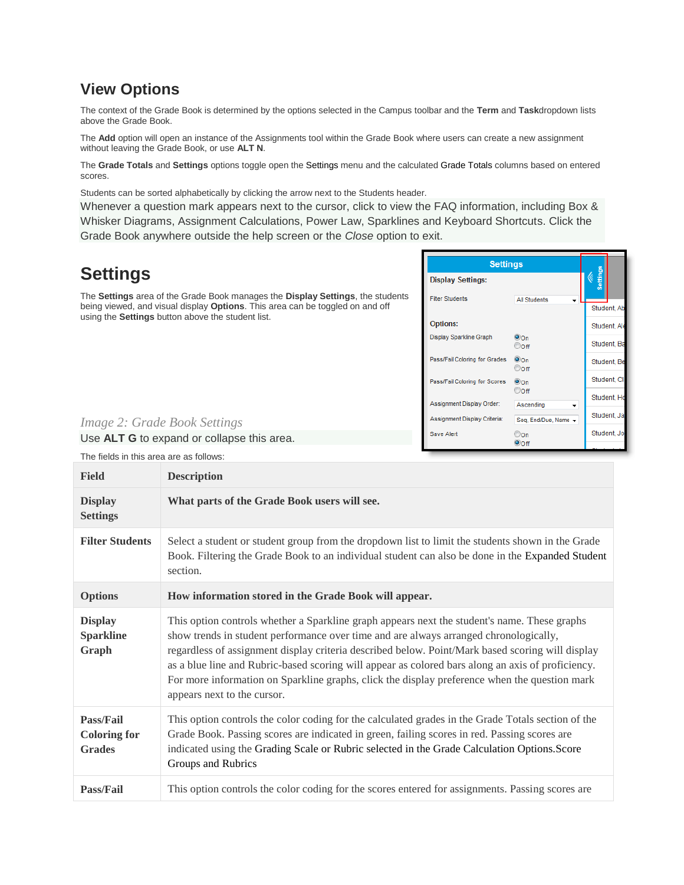### **View Options**

The context of the Grade Book is determined by the options selected in the Campus toolbar and the **Term** and **Task**dropdown lists above the Grade Book.

The **Add** option will open an instance of the Assignments tool within the Grade Book where users can create a new assignment without leaving the Grade Book, or use **ALT N**.

The **Grade Totals** and **Settings** options toggle open the Settings menu and the calculated Grade Totals columns based on entered scores.

Students can be sorted alphabetically by clicking the arrow next to the Students header.

Whenever a question mark appears next to the cursor, click to view the FAQ information, including Box & Whisker Diagrams, Assignment Calculations, Power Law, Sparklines and Keyboard Shortcuts. Click the Grade Book anywhere outside the help screen or the *Close* option to exit.

#### **Settings Settings Display Settings:** The **Settings** area of the Grade Book manages the **Display Settings**, the students **Filter Students All Students** being viewed, and visual display **Options**. This area can be toggled on and off Student, A using the **Settings** button above the student list. Options: Student, A Display Sparkline Graph  $\ddot{\mathbf{0}}$ On Student, B Ooff Pass/Fail Coloring for Grades  $@$ On Student B Ooff Student<sub>C</sub> Pass/Fail Coloring for Scores  $\odot$  On Ooff Student, H Assignment Display Order: Ascending Student, J. Assignment Display Criteria: Seq, End/Due, Name *Image 2: Grade Book Settings*  $\circledcirc$ on Student J Save Alert Use **ALT G** to expand or collapse this area. **Ooff** The fields in this area are as follows:

| <b>Field</b>                                      | <b>Description</b>                                                                                                                                                                                                                                                                                                                                                                                                                                                                                                             |
|---------------------------------------------------|--------------------------------------------------------------------------------------------------------------------------------------------------------------------------------------------------------------------------------------------------------------------------------------------------------------------------------------------------------------------------------------------------------------------------------------------------------------------------------------------------------------------------------|
| <b>Display</b><br><b>Settings</b>                 | What parts of the Grade Book users will see.                                                                                                                                                                                                                                                                                                                                                                                                                                                                                   |
| <b>Filter Students</b>                            | Select a student or student group from the dropdown list to limit the students shown in the Grade<br>Book. Filtering the Grade Book to an individual student can also be done in the Expanded Student<br>section.                                                                                                                                                                                                                                                                                                              |
| <b>Options</b>                                    | How information stored in the Grade Book will appear.                                                                                                                                                                                                                                                                                                                                                                                                                                                                          |
| <b>Display</b><br><b>Sparkline</b><br>Graph       | This option controls whether a Sparkline graph appears next the student's name. These graphs<br>show trends in student performance over time and are always arranged chronologically,<br>regardless of assignment display criteria described below. Point/Mark based scoring will display<br>as a blue line and Rubric-based scoring will appear as colored bars along an axis of proficiency.<br>For more information on Sparkline graphs, click the display preference when the question mark<br>appears next to the cursor. |
| Pass/Fail<br><b>Coloring for</b><br><b>Grades</b> | This option controls the color coding for the calculated grades in the Grade Totals section of the<br>Grade Book. Passing scores are indicated in green, failing scores in red. Passing scores are<br>indicated using the Grading Scale or Rubric selected in the Grade Calculation Options. Score<br>Groups and Rubrics                                                                                                                                                                                                       |
| Pass/Fail                                         | This option controls the color coding for the scores entered for assignments. Passing scores are                                                                                                                                                                                                                                                                                                                                                                                                                               |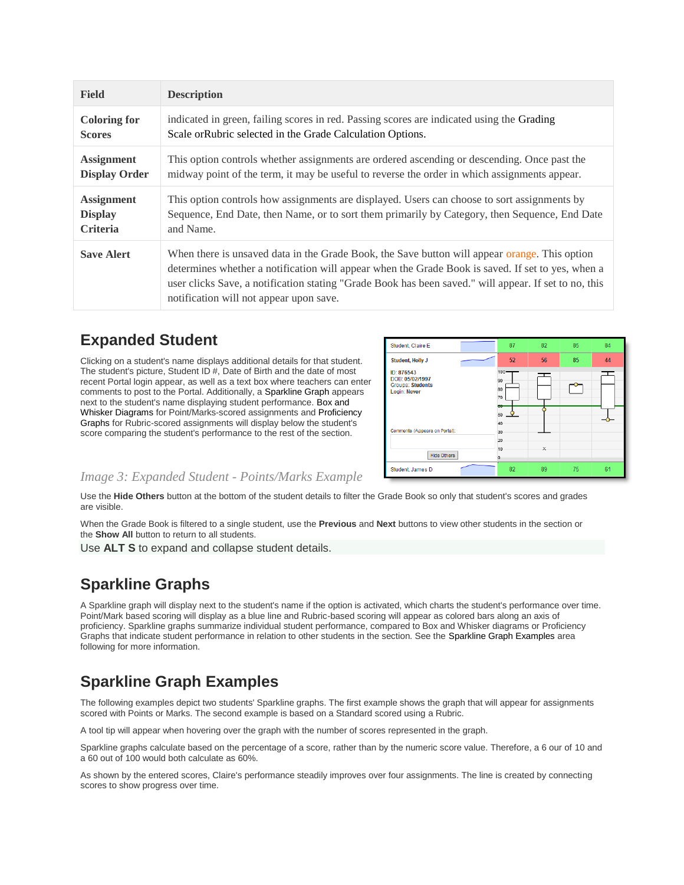| <b>Field</b>         | <b>Description</b>                                                                                                                                                                                                                                                                                                                                     |
|----------------------|--------------------------------------------------------------------------------------------------------------------------------------------------------------------------------------------------------------------------------------------------------------------------------------------------------------------------------------------------------|
| <b>Coloring for</b>  | indicated in green, failing scores in red. Passing scores are indicated using the Grading                                                                                                                                                                                                                                                              |
| <b>Scores</b>        | Scale or Rubric selected in the Grade Calculation Options.                                                                                                                                                                                                                                                                                             |
| <b>Assignment</b>    | This option controls whether assignments are ordered ascending or descending. Once past the                                                                                                                                                                                                                                                            |
| <b>Display Order</b> | midway point of the term, it may be useful to reverse the order in which assignments appear.                                                                                                                                                                                                                                                           |
| <b>Assignment</b>    | This option controls how assignments are displayed. Users can choose to sort assignments by                                                                                                                                                                                                                                                            |
| <b>Display</b>       | Sequence, End Date, then Name, or to sort them primarily by Category, then Sequence, End Date                                                                                                                                                                                                                                                          |
| <b>Criteria</b>      | and Name.                                                                                                                                                                                                                                                                                                                                              |
| <b>Save Alert</b>    | When there is unsaved data in the Grade Book, the Save button will appear orange. This option<br>determines whether a notification will appear when the Grade Book is saved. If set to yes, when a<br>user clicks Save, a notification stating "Grade Book has been saved." will appear. If set to no, this<br>notification will not appear upon save. |

### **Expanded Student**

Clicking on a student's name displays additional details for that student. The student's picture, Student ID #, Date of Birth and the date of most recent Portal login appear, as well as a text box where teachers can enter comments to post to the Portal. Additionally, a Sparkline Graph appears next to the student's name displaying student performance. Box and Whisker Diagrams for Point/Marks-scored assignments and Proficiency Graphs for Rubric-scored assignments will display below the student's score comparing the student's performance to the rest of the section.



#### *Image 3: Expanded Student - Points/Marks Example*

Use the **Hide Others** button at the bottom of the student details to filter the Grade Book so only that student's scores and grades are visible.

When the Grade Book is filtered to a single student, use the **Previous** and **Next** buttons to view other students in the section or the **Show All** button to return to all students.

Use **ALT S** to expand and collapse student details.

### **Sparkline Graphs**

A Sparkline graph will display next to the student's name if the option is activated, which charts the student's performance over time. Point/Mark based scoring will display as a blue line and Rubric-based scoring will appear as colored bars along an axis of proficiency. Sparkline graphs summarize individual student performance, compared to Box and Whisker diagrams or Proficiency Graphs that indicate student performance in relation to other students in the section. See the Sparkline Graph Examples area following for more information.

### **Sparkline Graph Examples**

The following examples depict two students' Sparkline graphs. The first example shows the graph that will appear for assignments scored with Points or Marks. The second example is based on a Standard scored using a Rubric.

A tool tip will appear when hovering over the graph with the number of scores represented in the graph.

Sparkline graphs calculate based on the percentage of a score, rather than by the numeric score value. Therefore, a 6 our of 10 and a 60 out of 100 would both calculate as 60%.

As shown by the entered scores, Claire's performance steadily improves over four assignments. The line is created by connecting scores to show progress over time.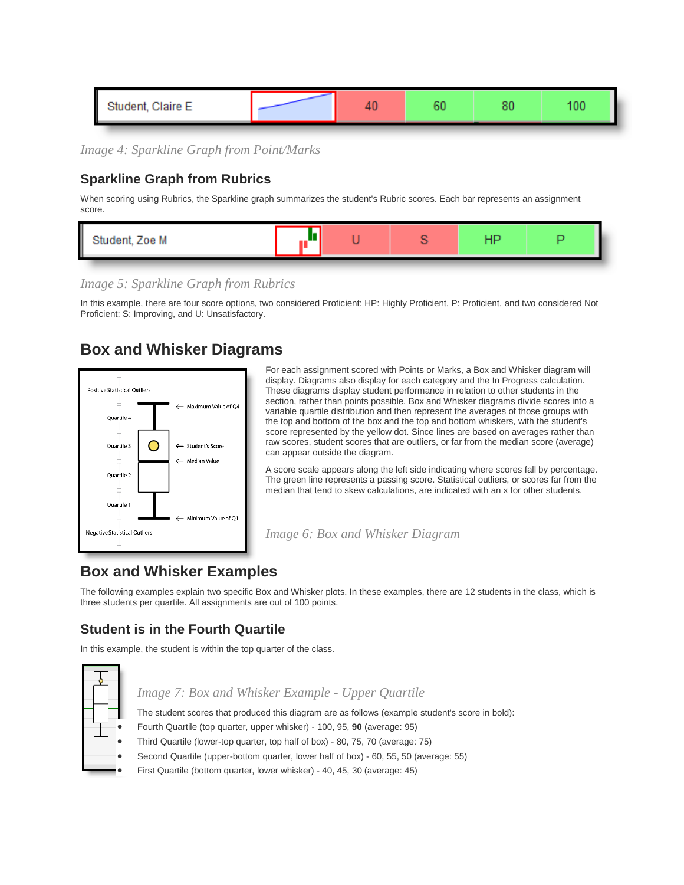| Ш<br>lant, Olaisa E.<br>лаіге Е. |  |  |  |
|----------------------------------|--|--|--|
|                                  |  |  |  |

*Image 4: Sparkline Graph from Point/Marks*

#### **Sparkline Graph from Rubrics**

When scoring using Rubrics, the Sparkline graph summarizes the student's Rubric scores. Each bar represents an assignment score.

| foe M |  |  |  |
|-------|--|--|--|
|       |  |  |  |

*Image 5: Sparkline Graph from Rubrics*

In this example, there are four score options, two considered Proficient: HP: Highly Proficient, P: Proficient, and two considered Not Proficient: S: Improving, and U: Unsatisfactory.

### **Box and Whisker Diagrams**



For each assignment scored with Points or Marks, a Box and Whisker diagram will display. Diagrams also display for each category and the In Progress calculation. These diagrams display student performance in relation to other students in the section, rather than points possible. Box and Whisker diagrams divide scores into a variable quartile distribution and then represent the averages of those groups with the top and bottom of the box and the top and bottom whiskers, with the student's score represented by the yellow dot. Since lines are based on averages rather than raw scores, student scores that are outliers, or far from the median score (average) can appear outside the diagram.

A score scale appears along the left side indicating where scores fall by percentage. The green line represents a passing score. Statistical outliers, or scores far from the median that tend to skew calculations, are indicated with an x for other students.

*Image 6: Box and Whisker Diagram*

### **Box and Whisker Examples**

The following examples explain two specific Box and Whisker plots. In these examples, there are 12 students in the class, which is three students per quartile. All assignments are out of 100 points.

#### **Student is in the Fourth Quartile**

In this example, the student is within the top quarter of the class.



#### *Image 7: Box and Whisker Example - Upper Quartile*

The student scores that produced this diagram are as follows (example student's score in bold):

- Fourth Quartile (top quarter, upper whisker) 100, 95, **90** (average: 95)
- Third Quartile (lower-top quarter, top half of box) 80, 75, 70 (average: 75)
- Second Quartile (upper-bottom quarter, lower half of box) 60, 55, 50 (average: 55)
- First Quartile (bottom quarter, lower whisker) 40, 45, 30 (average: 45)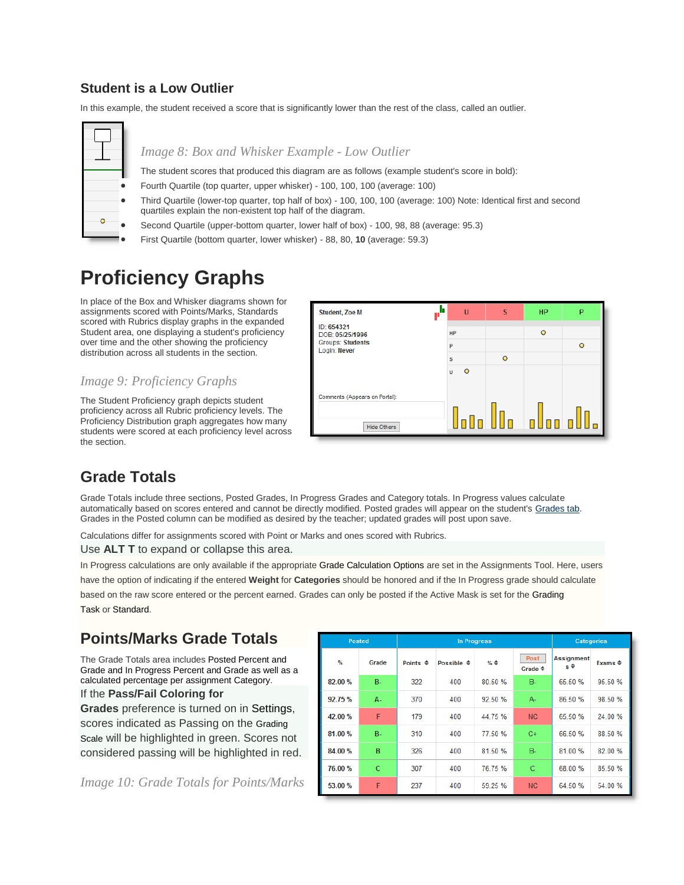#### **Student is a Low Outlier**

In this example, the student received a score that is significantly lower than the rest of the class, called an outlier.



#### *Image 8: Box and Whisker Example - Low Outlier*

The student scores that produced this diagram are as follows (example student's score in bold):

- Fourth Quartile (top quarter, upper whisker) 100, 100, 100 (average: 100)
- Third Quartile (lower-top quarter, top half of box) 100, 100, 100 (average: 100) Note: Identical first and second quartiles explain the non-existent top half of the diagram.
- Second Quartile (upper-bottom quarter, lower half of box) 100, 98, 88 (average: 95.3)
- First Quartile (bottom quarter, lower whisker) 88, 80, **10** (average: 59.3)

### **Proficiency Graphs**

In place of the Box and Whisker diagrams shown for assignments scored with Points/Marks, Standards scored with Rubrics display graphs in the expanded Student area, one displaying a student's proficiency over time and the other showing the proficiency distribution across all students in the section.

#### *Image 9: Proficiency Graphs*

The Student Proficiency graph depicts student proficiency across all Rubric proficiency levels. The Proficiency Distribution graph aggregates how many students were scored at each proficiency level across the section.



### **Grade Totals**

Grade Totals include three sections, Posted Grades, In Progress Grades and Category totals. In Progress values calculate automatically based on scores entered and cannot be directly modified. Posted grades will appear on the student's [Grades tab.](https://community.infinitecampus.com/kb/display/DOC/Grades) Grades in the Posted column can be modified as desired by the teacher; updated grades will post upon save.

Calculations differ for assignments scored with Point or Marks and ones scored with Rubrics.

Use **ALT T** to expand or collapse this area.

In Progress calculations are only available if the appropriate Grade Calculation Options are set in the Assignments Tool. Here, users

have the option of indicating if the entered **Weight** for **Categories** should be honored and if the In Progress grade should calculate based on the raw score entered or the percent earned. Grades can only be posted if the Active Mask is set for the Grading Task or Standard.

### **Points/Marks Grade Totals**

The Grade Totals area includes Posted Percent and Grade and In Progress Percent and Grade as well as a calculated percentage per assignment Category.

#### If the **Pass/Fail Coloring for**

**Grades** preference is turned on in Settings, scores indicated as Passing on the Grading Scale will be highlighted in green. Scores not considered passing will be highlighted in red.

*Image 10: Grade Totals for Points/Marks*

|         | <b>Posted</b> |                     | <b>In Progress</b>    | <b>Categories</b> |                            |                            |                         |
|---------|---------------|---------------------|-----------------------|-------------------|----------------------------|----------------------------|-------------------------|
| ℆       | Grade         | Points $\triangleq$ | Possible $\triangleq$ | $%$ $\triangle$   | Post<br>Grade $\triangleq$ | <b>Assignment</b><br>$s^*$ | Exams $\Leftrightarrow$ |
| 82.00 % | <b>B-</b>     | 322                 | 400                   | 80.50 %           | <b>B-</b>                  | 65.50 %                    | 95.50 %                 |
| 92.75 % | А.            | 370                 | 400                   | 92.50 %           | A-                         | 86.50 %                    | 98.50 %                 |
| 42.00 % | F             | 179                 | 400                   | 44.75%            | <b>NC</b>                  | 65.50 %                    | 24.00 %                 |
| 81.00 % | <b>B-</b>     | 310                 | 400                   | 77.50 %           | $C+$                       | 66.50 %                    | 88.50 %                 |
| 84.00 % | B             | 326                 | 400                   | 81.50 %           | $B -$                      | 81.00 %                    | 82.00 %                 |
| 76.00 % | Ċ             | 307                 | 400                   | 76.75%            | C                          | 68.00 %                    | 85.50 %                 |
| 53.00 % | F             | 237                 | 400                   | 59.25 %           | <b>NC</b>                  | 64.50 %                    | 54.00 %                 |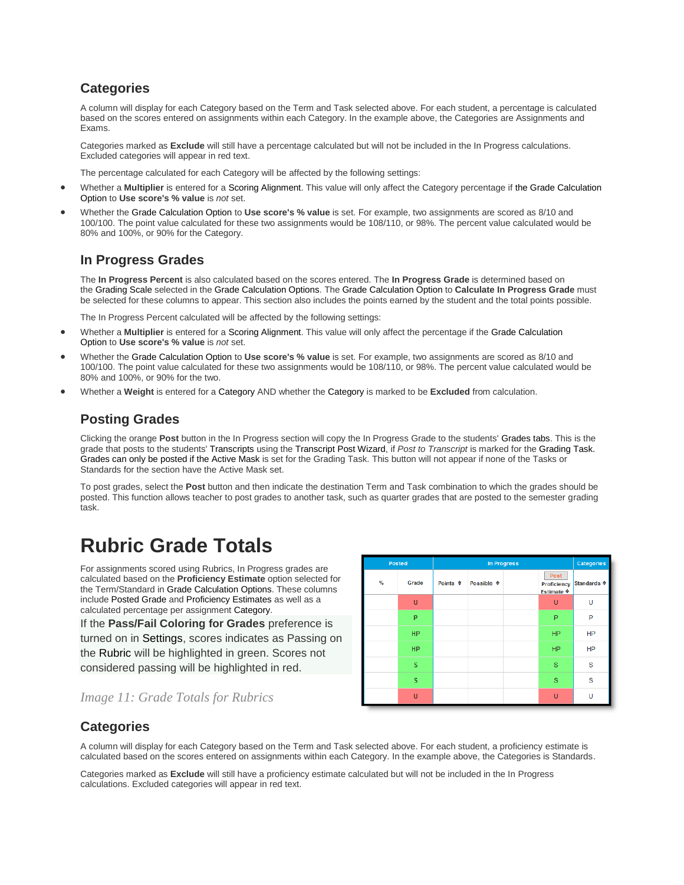#### **Categories**

A column will display for each Category based on the Term and Task selected above. For each student, a percentage is calculated based on the scores entered on assignments within each Category. In the example above, the Categories are Assignments and Exams.

Categories marked as **Exclude** will still have a percentage calculated but will not be included in the In Progress calculations. Excluded categories will appear in red text.

The percentage calculated for each Category will be affected by the following settings:

- Whether a **Multiplier** is entered for a Scoring Alignment. This value will only affect the Category percentage if the Grade Calculation Option to **Use score's % value** is *not* set.
- Whether the Grade Calculation Option to **Use score's % value** is set. For example, two assignments are scored as 8/10 and 100/100. The point value calculated for these two assignments would be 108/110, or 98%. The percent value calculated would be 80% and 100%, or 90% for the Category.

#### **In Progress Grades**

The **In Progress Percent** is also calculated based on the scores entered. The **In Progress Grade** is determined based on the Grading Scale selected in the Grade Calculation Options. The Grade Calculation Option to **Calculate In Progress Grade** must be selected for these columns to appear. This section also includes the points earned by the student and the total points possible.

The In Progress Percent calculated will be affected by the following settings:

- Whether a **Multiplier** is entered for a Scoring Alignment. This value will only affect the percentage if the Grade Calculation Option to **Use score's % value** is *not* set.
- Whether the Grade Calculation Option to **Use score's % value** is set. For example, two assignments are scored as 8/10 and 100/100. The point value calculated for these two assignments would be 108/110, or 98%. The percent value calculated would be 80% and 100%, or 90% for the two.
- Whether a **Weight** is entered for a Category AND whether the Category is marked to be **Excluded** from calculation.

#### **Posting Grades**

Clicking the orange **Post** button in the In Progress section will copy the In Progress Grade to the students' Grades tabs. This is the grade that posts to the students' Transcripts using the Transcript Post Wizard, if *Post to Transcript* is marked for the Grading Task. Grades can only be posted if the Active Mask is set for the Grading Task. This button will not appear if none of the Tasks or Standards for the section have the Active Mask set.

To post grades, select the **Post** button and then indicate the destination Term and Task combination to which the grades should be posted. This function allows teacher to post grades to another task, such as quarter grades that are posted to the semester grading task.

### **Rubric Grade Totals**

For assignments scored using Rubrics, In Progress grades are calculated based on the **Proficiency Estimate** option selected for the Term/Standard in Grade Calculation Options. These columns include [Posted Grade](https://community.infinitecampus.com/kb/pages/viewpage.action?pageId=10223749#GradeBook(Beta)-PostingGradesB) and Proficiency Estimates as well as a calculated percentage per assignment Category.

If the **Pass/Fail Coloring for Grades** preference is turned on in Settings, scores indicates as Passing on the Rubric will be highlighted in green. Scores not considered passing will be highlighted in red.

| <b>Posted</b> |           |                     | Categories            |                                              |                        |
|---------------|-----------|---------------------|-----------------------|----------------------------------------------|------------------------|
| %             | Grade     | Points $\triangleq$ | Possible $\triangleq$ | Post<br>Proficiency<br>Estimate $\triangleq$ | Standards $\triangleq$ |
|               | U         |                     |                       | U                                            | U                      |
|               | P         |                     |                       | P                                            | P                      |
|               | <b>HP</b> |                     |                       | <b>HP</b>                                    | HP                     |
|               | <b>HP</b> |                     |                       | <b>HP</b>                                    | HP                     |
|               | s         |                     |                       | s                                            | S                      |
|               | s         |                     |                       | S                                            | S                      |
|               | Ü         |                     |                       | $\cup$                                       | U                      |

#### *Image 11: Grade Totals for Rubrics*

#### **Categories**

A column will display for each Category based on the Term and Task selected above. For each student, a proficiency estimate is calculated based on the scores entered on assignments within each Category. In the example above, the Categories is Standards.

Categories marked as **Exclude** will still have a proficiency estimate calculated but will not be included in the In Progress calculations. Excluded categories will appear in red text.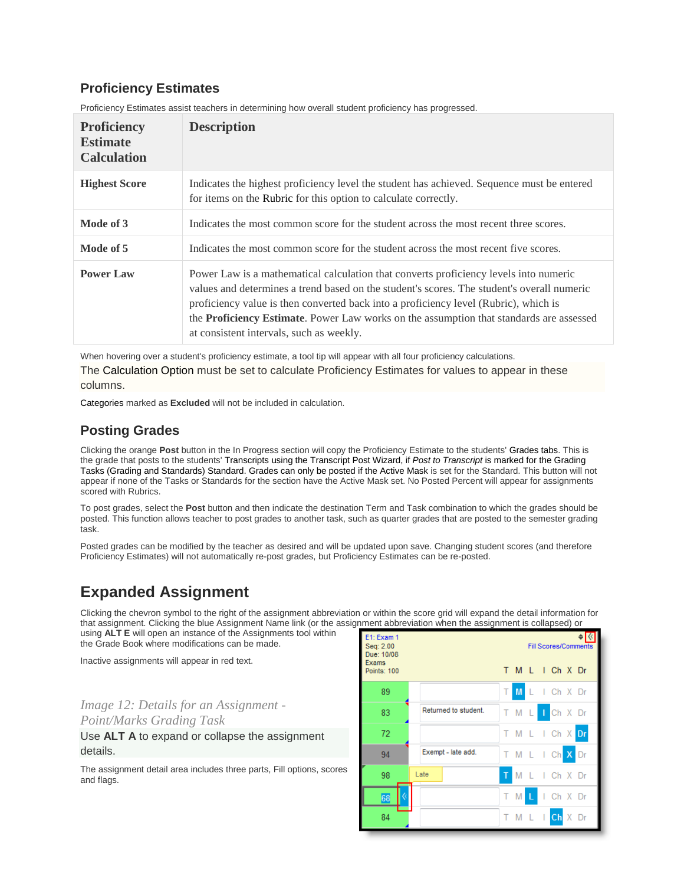#### **Proficiency Estimates**

| <b>Proficiency</b><br><b>Estimate</b><br><b>Calculation</b> | <b>Description</b>                                                                                                                                                                                                                                                                                                                                                                                                         |
|-------------------------------------------------------------|----------------------------------------------------------------------------------------------------------------------------------------------------------------------------------------------------------------------------------------------------------------------------------------------------------------------------------------------------------------------------------------------------------------------------|
| <b>Highest Score</b>                                        | Indicates the highest proficiency level the student has achieved. Sequence must be entered<br>for items on the Rubric for this option to calculate correctly.                                                                                                                                                                                                                                                              |
| Mode of 3                                                   | Indicates the most common score for the student across the most recent three scores.                                                                                                                                                                                                                                                                                                                                       |
| Mode of 5                                                   | Indicates the most common score for the student across the most recent five scores.                                                                                                                                                                                                                                                                                                                                        |
| <b>Power Law</b>                                            | Power Law is a mathematical calculation that converts proficiency levels into numeric<br>values and determines a trend based on the student's scores. The student's overall numeric<br>proficiency value is then converted back into a proficiency level (Rubric), which is<br>the <b>Proficiency Estimate</b> . Power Law works on the assumption that standards are assessed<br>at consistent intervals, such as weekly. |

Proficiency Estimates assist teachers in determining how overall student proficiency has progressed.

When hovering over a student's proficiency estimate, a tool tip will appear with all four proficiency calculations. The Calculation Option must be set to calculate Proficiency Estimates for values to appear in these columns.

Categories marked as **Excluded** will not be included in calculation.

#### **Posting Grades**

Clicking the orange **Post** button in the In Progress section will copy the Proficiency Estimate to the students' Grades tabs. This is the grade that posts to the students' Transcripts using the Transcript Post Wizard, if *Post to Transcript* is marked for the Grading Tasks (Grading and Standards) Standard. Grades can only be posted if the Active Mask is set for the Standard. This button will not appear if none of the Tasks or Standards for the section have the Active Mask set. No Posted Percent will appear for assignments scored with Rubrics.

To post grades, select the **Post** button and then indicate the destination Term and Task combination to which the grades should be posted. This function allows teacher to post grades to another task, such as quarter grades that are posted to the semester grading task.

Posted grades can be modified by the teacher as desired and will be updated upon save. Changing student scores (and therefore Proficiency Estimates) will not automatically re-post grades, but Proficiency Estimates can be re-posted.

### **Expanded Assignment**

Clicking the chevron symbol to the right of the assignment abbreviation or within the score grid will expand the detail information for that assignment. Clicking the blue Assignment Name link (or the assignment abbreviation when the assignment is collapsed) or using **ALT E** will open an instance of the Assignments tool within

the Grade Book where modifications can be made.

Inactive assignments will appear in red text.

### *Image 12: Details for an Assignment -*

*Point/Marks Grading Task*

#### Use **ALT A** to expand or collapse the assignment details.

The assignment detail area includes three parts, Fill options, scores and flags.

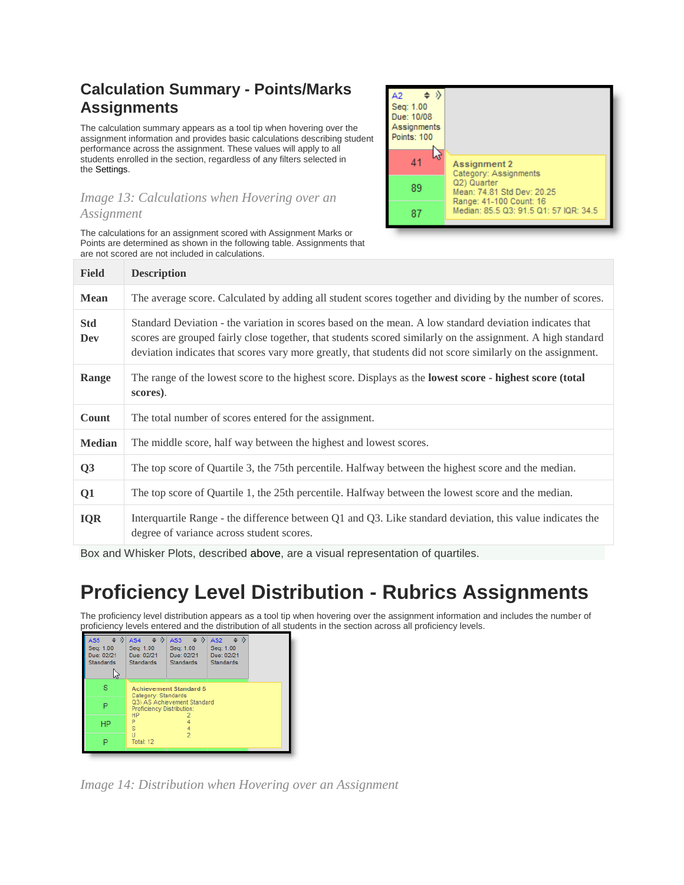### **Calculation Summary - Points/Marks Assignments**

The calculation summary appears as a tool tip when hovering over the assignment information and provides basic calculations describing student performance across the assignment. These values will apply to all students enrolled in the section, regardless of any filters selected in the [Settings.](https://community.infinitecampus.com/kb/pages/viewpage.action?pageId=10223749#GradeBook(Beta)-Settings)

#### *Image 13: Calculations when Hovering over an Assignment*

The calculations for an assignment scored with Assignment Marks or Points are determined as shown in the following table. Assignments that are not scored are not included in calculations.



| <b>Field</b>      | <b>Description</b>                                                                                                                                                                                                                                                                                                                    |
|-------------------|---------------------------------------------------------------------------------------------------------------------------------------------------------------------------------------------------------------------------------------------------------------------------------------------------------------------------------------|
| <b>Mean</b>       | The average score. Calculated by adding all student scores together and dividing by the number of scores.                                                                                                                                                                                                                             |
| <b>Std</b><br>Dev | Standard Deviation - the variation in scores based on the mean. A low standard deviation indicates that<br>scores are grouped fairly close together, that students scored similarly on the assignment. A high standard<br>deviation indicates that scores vary more greatly, that students did not score similarly on the assignment. |
| Range             | The range of the lowest score to the highest score. Displays as the <b>lowest score</b> - highest score (total<br>scores).                                                                                                                                                                                                            |
| Count             | The total number of scores entered for the assignment.                                                                                                                                                                                                                                                                                |
| <b>Median</b>     | The middle score, half way between the highest and lowest scores.                                                                                                                                                                                                                                                                     |
| Q3                | The top score of Quartile 3, the 75th percentile. Halfway between the highest score and the median.                                                                                                                                                                                                                                   |
| Q1                | The top score of Quartile 1, the 25th percentile. Halfway between the lowest score and the median.                                                                                                                                                                                                                                    |
| <b>IQR</b>        | Interquartile Range - the difference between Q1 and Q3. Like standard deviation, this value indicates the<br>degree of variance across student scores.                                                                                                                                                                                |

Box and Whisker Plots, described above, are a visual representation of quartiles.

## **Proficiency Level Distribution - Rubrics Assignments**

The proficiency level distribution appears as a tool tip when hovering over the assignment information and includes the number of proficiency levels entered and the distribution of all students in the section across all proficiency levels.

| AS5<br>Seq: 1.00<br>Due: 02/21<br><b>Standards</b> | AS <sub>2</sub><br>AS4<br>AS3<br>Seq: 1.00<br>Seq: 1.00<br>Seq: 1.00<br>Due: 02/21<br>Due: 02/21<br>Due: 02/21<br><b>Standards</b><br><b>Standards</b><br><b>Standards</b> |  |  |  |  |  |
|----------------------------------------------------|----------------------------------------------------------------------------------------------------------------------------------------------------------------------------|--|--|--|--|--|
| s                                                  | <b>Achievement Standard 5</b><br>Category: Standards<br>Q3) AS Achievement Standard<br>Proficiency Distribution:                                                           |  |  |  |  |  |
|                                                    |                                                                                                                                                                            |  |  |  |  |  |
| ΗP                                                 | <b>HP</b><br>P<br>Š                                                                                                                                                        |  |  |  |  |  |
|                                                    | 2<br>Total: 12                                                                                                                                                             |  |  |  |  |  |

*Image 14: Distribution when Hovering over an Assignment*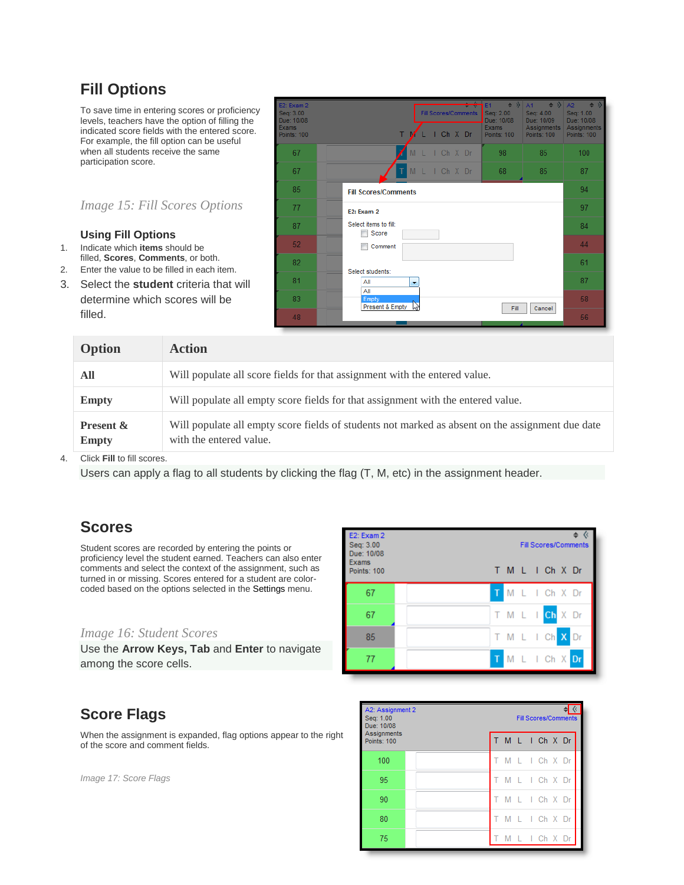### **Fill Options**

To save time in entering scores or proficiency levels, teachers have the option of filling the indicated score fields with the entered score. For example, the fill option can be useful when all students receive the same participation score.

#### *Image 15: Fill Scores Options*

#### **Using Fill Options**

- 1. Indicate which **items** should be filled, **Scores**, **Comments**, or both.
- 2. Enter the value to be filled in each item.
- 3. Select the **student** criteria that will determine which scores will be filled.



| Option                               | <b>Action</b>                                                                                                               |
|--------------------------------------|-----------------------------------------------------------------------------------------------------------------------------|
| All                                  | Will populate all score fields for that assignment with the entered value.                                                  |
| <b>Empty</b>                         | Will populate all empty score fields for that assignment with the entered value.                                            |
| <b>Present &amp;</b><br><b>Empty</b> | Will populate all empty score fields of students not marked as absent on the assignment due date<br>with the entered value. |

4. Click **Fill** to fill scores.

Users can apply a flag to all students by clicking the flag (T, M, etc) in the assignment header.

### **Scores**

Student scores are recorded by entering the points or proficiency level the student earned. Teachers can also enter comments and select the context of the assignment, such as turned in or missing. Scores entered for a student are colorcoded based on the options selected in the Settings menu.

#### *Image 16: Student Scores*

Use the **Arrow Keys, Tab** and **Enter** to navigate among the score cells.



### **Score Flags**

When the assignment is expanded, flag options appear to the right of the score and comment fields.

*Image 17: Score Flags*

| A2: Assignment 2<br>Seq: 1.00<br>Due: 10/08 |  | <b>Fill Scores/Comments</b> |   |  |  |               |  |  |  |
|---------------------------------------------|--|-----------------------------|---|--|--|---------------|--|--|--|
| Assignments<br><b>Points: 100</b>           |  |                             |   |  |  | M L I Ch X Dr |  |  |  |
| 100                                         |  |                             |   |  |  | M L I Ch X Dr |  |  |  |
| 95                                          |  |                             |   |  |  | M L I Ch X Dr |  |  |  |
| 90                                          |  | T.                          |   |  |  | M L I Ch X Dr |  |  |  |
| 80                                          |  |                             |   |  |  | M L I Ch X Dr |  |  |  |
| 75                                          |  |                             | M |  |  | L I Ch X Dr   |  |  |  |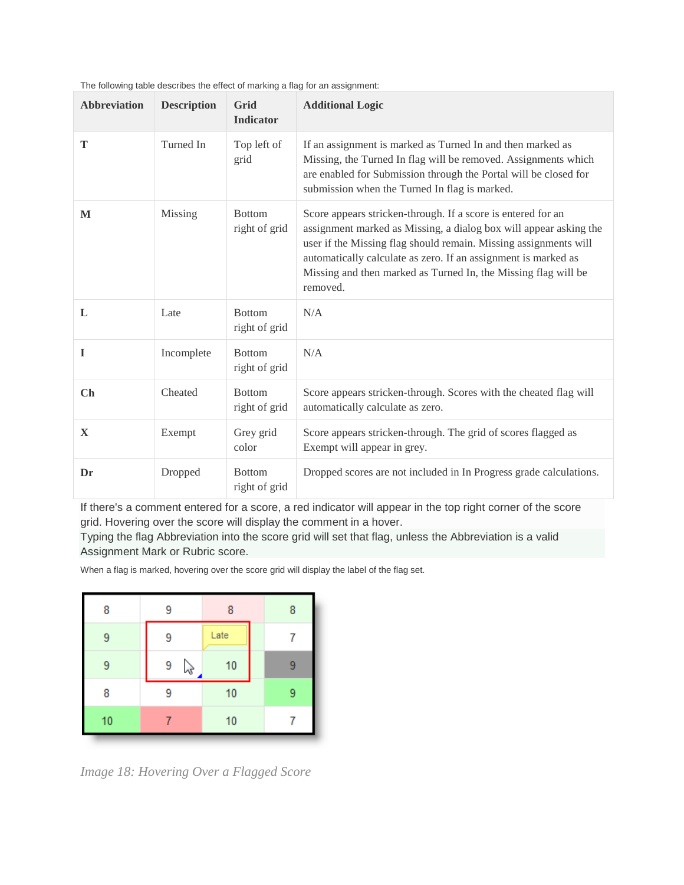| <b>Abbreviation</b> | <b>Description</b> | Grid<br><b>Indicator</b>       | <b>Additional Logic</b>                                                                                                                                                                                                                                                                                                                               |
|---------------------|--------------------|--------------------------------|-------------------------------------------------------------------------------------------------------------------------------------------------------------------------------------------------------------------------------------------------------------------------------------------------------------------------------------------------------|
| T                   | Turned In          | Top left of<br>grid            | If an assignment is marked as Turned In and then marked as<br>Missing, the Turned In flag will be removed. Assignments which<br>are enabled for Submission through the Portal will be closed for<br>submission when the Turned In flag is marked.                                                                                                     |
| M                   | Missing            | <b>Bottom</b><br>right of grid | Score appears stricken-through. If a score is entered for an<br>assignment marked as Missing, a dialog box will appear asking the<br>user if the Missing flag should remain. Missing assignments will<br>automatically calculate as zero. If an assignment is marked as<br>Missing and then marked as Turned In, the Missing flag will be<br>removed. |
| L                   | Late               | <b>Bottom</b><br>right of grid | N/A                                                                                                                                                                                                                                                                                                                                                   |
| I                   | Incomplete         | <b>Bottom</b><br>right of grid | N/A                                                                                                                                                                                                                                                                                                                                                   |
| Ch                  | Cheated            | <b>Bottom</b><br>right of grid | Score appears stricken-through. Scores with the cheated flag will<br>automatically calculate as zero.                                                                                                                                                                                                                                                 |
| X                   | Exempt             | Grey grid<br>color             | Score appears stricken-through. The grid of scores flagged as<br>Exempt will appear in grey.                                                                                                                                                                                                                                                          |
| Dr                  | Dropped            | <b>Bottom</b><br>right of grid | Dropped scores are not included in In Progress grade calculations.                                                                                                                                                                                                                                                                                    |

The following table describes the effect of marking a flag for an assignment:

If there's a comment entered for a score, a red indicator will appear in the top right corner of the score grid. Hovering over the score will display the comment in a hover.

Typing the flag Abbreviation into the score grid will set that flag, unless the Abbreviation is a valid Assignment Mark or Rubric score.

When a flag is marked, hovering over the score grid will display the label of the flag set.

| 8  | 9           | 8    | 8 |
|----|-------------|------|---|
| 9  | 9           | Late |   |
| 9  | 9<br>$\sim$ | 10   | 9 |
| 8  | 9           | 10   | 9 |
| 10 |             | 10   |   |

*Image 18: Hovering Over a Flagged Score*